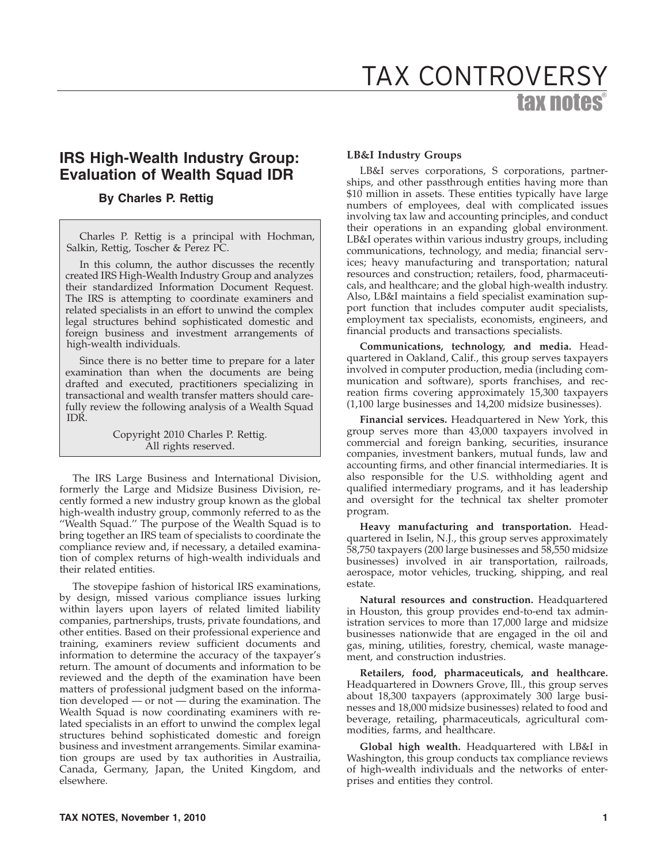# **IRS High-Wealth Industry Group: Evaluation of Wealth Squad IDR**

## **By Charles P. Rettig**

Charles P. Rettig is a principal with Hochman, Salkin, Rettig, Toscher & Perez PC.

In this column, the author discusses the recently created IRS High-Wealth Industry Group and analyzes their standardized Information Document Request. The IRS is attempting to coordinate examiners and related specialists in an effort to unwind the complex legal structures behind sophisticated domestic and foreign business and investment arrangements of high-wealth individuals.

Since there is no better time to prepare for a later examination than when the documents are being drafted and executed, practitioners specializing in transactional and wealth transfer matters should carefully review the following analysis of a Wealth Squad IDR.

> Copyright 2010 Charles P. Rettig. All rights reserved.

The IRS Large Business and International Division, formerly the Large and Midsize Business Division, recently formed a new industry group known as the global high-wealth industry group, commonly referred to as the ''Wealth Squad.'' The purpose of the Wealth Squad is to bring together an IRS team of specialists to coordinate the compliance review and, if necessary, a detailed examination of complex returns of high-wealth individuals and their related entities.

The stovepipe fashion of historical IRS examinations, by design, missed various compliance issues lurking within layers upon layers of related limited liability companies, partnerships, trusts, private foundations, and other entities. Based on their professional experience and training, examiners review sufficient documents and information to determine the accuracy of the taxpayer's return. The amount of documents and information to be reviewed and the depth of the examination have been matters of professional judgment based on the information developed — or not — during the examination. The Wealth Squad is now coordinating examiners with related specialists in an effort to unwind the complex legal structures behind sophisticated domestic and foreign business and investment arrangements. Similar examination groups are used by tax authorities in Austrailia, Canada, Germany, Japan, the United Kingdom, and elsewhere.

## **LB&I Industry Groups**

LB&I serves corporations, S corporations, partnerships, and other passthrough entities having more than \$10 million in assets. These entities typically have large numbers of employees, deal with complicated issues involving tax law and accounting principles, and conduct their operations in an expanding global environment. LB&I operates within various industry groups, including communications, technology, and media; financial services; heavy manufacturing and transportation; natural resources and construction; retailers, food, pharmaceuticals, and healthcare; and the global high-wealth industry. Also, LB&I maintains a field specialist examination support function that includes computer audit specialists, employment tax specialists, economists, engineers, and financial products and transactions specialists.

**Communications, technology, and media.** Headquartered in Oakland, Calif., this group serves taxpayers involved in computer production, media (including communication and software), sports franchises, and recreation firms covering approximately 15,300 taxpayers (1,100 large businesses and 14,200 midsize businesses).

**Financial services.** Headquartered in New York, this group serves more than 43,000 taxpayers involved in commercial and foreign banking, securities, insurance companies, investment bankers, mutual funds, law and accounting firms, and other financial intermediaries. It is also responsible for the U.S. withholding agent and qualified intermediary programs, and it has leadership and oversight for the technical tax shelter promoter program.

**Heavy manufacturing and transportation.** Headquartered in Iselin, N.J., this group serves approximately 58,750 taxpayers (200 large businesses and 58,550 midsize businesses) involved in air transportation, railroads, aerospace, motor vehicles, trucking, shipping, and real estate.

**Natural resources and construction.** Headquartered in Houston, this group provides end-to-end tax administration services to more than 17,000 large and midsize businesses nationwide that are engaged in the oil and gas, mining, utilities, forestry, chemical, waste management, and construction industries.

**Retailers, food, pharmaceuticals, and healthcare.** Headquartered in Downers Grove, Ill., this group serves about 18,300 taxpayers (approximately 300 large businesses and 18,000 midsize businesses) related to food and beverage, retailing, pharmaceuticals, agricultural commodities, farms, and healthcare.

**Global high wealth.** Headquartered with LB&I in Washington, this group conducts tax compliance reviews of high-wealth individuals and the networks of enterprises and entities they control.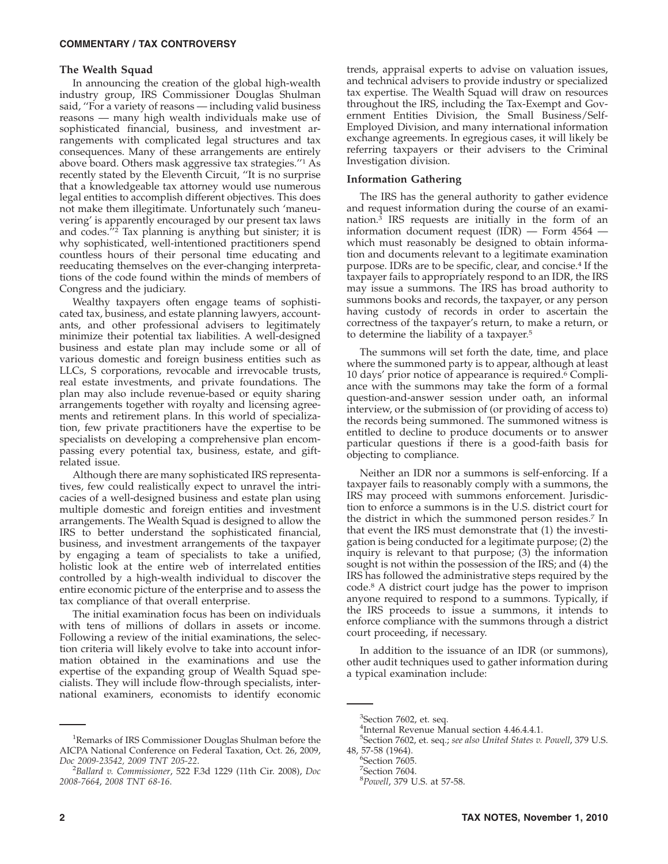#### **COMMENTARY / TAX CONTROVERSY**

#### **The Wealth Squad**

In announcing the creation of the global high-wealth industry group, IRS Commissioner Douglas Shulman said, ''For a variety of reasons — including valid business reasons — many high wealth individuals make use of sophisticated financial, business, and investment arrangements with complicated legal structures and tax consequences. Many of these arrangements are entirely above board. Others mask aggressive tax strategies.''1 As recently stated by the Eleventh Circuit, ''It is no surprise that a knowledgeable tax attorney would use numerous legal entities to accomplish different objectives. This does not make them illegitimate. Unfortunately such 'maneuvering' is apparently encouraged by our present tax laws and codes.''2 Tax planning is anything but sinister; it is why sophisticated, well-intentioned practitioners spend countless hours of their personal time educating and reeducating themselves on the ever-changing interpretations of the code found within the minds of members of Congress and the judiciary.

Wealthy taxpayers often engage teams of sophisticated tax, business, and estate planning lawyers, accountants, and other professional advisers to legitimately minimize their potential tax liabilities. A well-designed business and estate plan may include some or all of various domestic and foreign business entities such as LLCs, S corporations, revocable and irrevocable trusts, real estate investments, and private foundations. The plan may also include revenue-based or equity sharing arrangements together with royalty and licensing agreements and retirement plans. In this world of specialization, few private practitioners have the expertise to be specialists on developing a comprehensive plan encompassing every potential tax, business, estate, and giftrelated issue.

Although there are many sophisticated IRS representatives, few could realistically expect to unravel the intricacies of a well-designed business and estate plan using multiple domestic and foreign entities and investment arrangements. The Wealth Squad is designed to allow the IRS to better understand the sophisticated financial, business, and investment arrangements of the taxpayer by engaging a team of specialists to take a unified, holistic look at the entire web of interrelated entities controlled by a high-wealth individual to discover the entire economic picture of the enterprise and to assess the tax compliance of that overall enterprise.

The initial examination focus has been on individuals with tens of millions of dollars in assets or income. Following a review of the initial examinations, the selection criteria will likely evolve to take into account information obtained in the examinations and use the expertise of the expanding group of Wealth Squad specialists. They will include flow-through specialists, international examiners, economists to identify economic trends, appraisal experts to advise on valuation issues, and technical advisers to provide industry or specialized tax expertise. The Wealth Squad will draw on resources throughout the IRS, including the Tax-Exempt and Government Entities Division, the Small Business/Self-Employed Division, and many international information exchange agreements. In egregious cases, it will likely be referring taxpayers or their advisers to the Criminal Investigation division.

#### **Information Gathering**

The IRS has the general authority to gather evidence and request information during the course of an examination.3 IRS requests are initially in the form of an information document request (IDR) — Form 4564 which must reasonably be designed to obtain information and documents relevant to a legitimate examination purpose. IDRs are to be specific, clear, and concise.4 If the taxpayer fails to appropriately respond to an IDR, the IRS may issue a summons. The IRS has broad authority to summons books and records, the taxpayer, or any person having custody of records in order to ascertain the correctness of the taxpayer's return, to make a return, or to determine the liability of a taxpayer.<sup>5</sup>

The summons will set forth the date, time, and place where the summoned party is to appear, although at least 10 days' prior notice of appearance is required.<sup>6</sup> Compliance with the summons may take the form of a formal question-and-answer session under oath, an informal interview, or the submission of (or providing of access to) the records being summoned. The summoned witness is entitled to decline to produce documents or to answer particular questions if there is a good-faith basis for objecting to compliance.

Neither an IDR nor a summons is self-enforcing. If a taxpayer fails to reasonably comply with a summons, the IRS may proceed with summons enforcement. Jurisdiction to enforce a summons is in the U.S. district court for the district in which the summoned person resides.7 In that event the IRS must demonstrate that (1) the investigation is being conducted for a legitimate purpose; (2) the inquiry is relevant to that purpose; (3) the information sought is not within the possession of the IRS; and (4) the IRS has followed the administrative steps required by the code.8 A district court judge has the power to imprison anyone required to respond to a summons. Typically, if the IRS proceeds to issue a summons, it intends to enforce compliance with the summons through a district court proceeding, if necessary.

In addition to the issuance of an IDR (or summons), other audit techniques used to gather information during a typical examination include:

<sup>&</sup>lt;sup>1</sup>Remarks of IRS Commissioner Douglas Shulman before the AICPA National Conference on Federal Taxation, Oct. 26, 2009, *Doc 2009-23542, 2009 TNT 205-22*. <sup>2</sup>

*Ballard v. Commissioner*, 522 F.3d 1229 (11th Cir. 2008), *Doc 2008-7664*, *2008 TNT 68-16*.

<sup>&</sup>lt;sup>3</sup>Section 7602, et. seq.

<sup>4</sup> Internal Revenue Manual section 4.46.4.4.1.

<sup>5</sup> Section 7602, et. seq.; *see also United States v. Powell*, 379 U.S. 48, 57-58 (1964). <sup>6</sup>

<sup>&</sup>lt;sup>5</sup>Section 7605.

<sup>7</sup> Section 7604. 8 *Powell*, 379 U.S. at 57-58.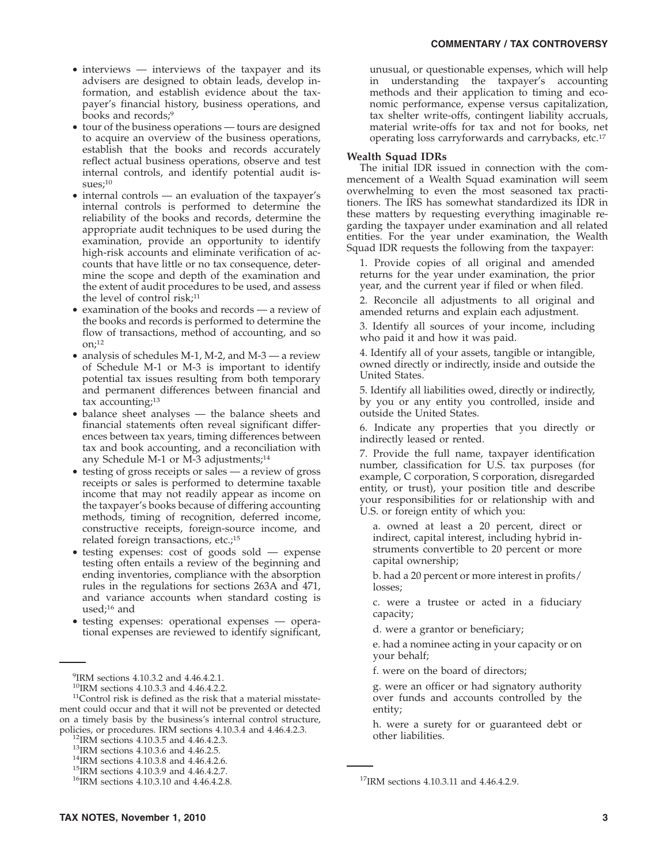- interviews interviews of the taxpayer and its advisers are designed to obtain leads, develop information, and establish evidence about the taxpayer's financial history, business operations, and books and records;9
- tour of the business operations tours are designed to acquire an overview of the business operations, establish that the books and records accurately reflect actual business operations, observe and test internal controls, and identify potential audit issues;<sup>10</sup>
- internal controls an evaluation of the taxpayer's internal controls is performed to determine the reliability of the books and records, determine the appropriate audit techniques to be used during the examination, provide an opportunity to identify high-risk accounts and eliminate verification of accounts that have little or no tax consequence, determine the scope and depth of the examination and the extent of audit procedures to be used, and assess the level of control risk;<sup>11</sup>
- examination of the books and records  $-$  a review of the books and records is performed to determine the flow of transactions, method of accounting, and so on; $^{12}$
- analysis of schedules M-1, M-2, and M-3 a review of Schedule M-1 or M-3 is important to identify potential tax issues resulting from both temporary and permanent differences between financial and tax accounting;<sup>13</sup>
- balance sheet analyses the balance sheets and financial statements often reveal significant differences between tax years, timing differences between tax and book accounting, and a reconciliation with any Schedule M-1 or M-3 adjustments;<sup>14</sup>
- testing of gross receipts or sales a review of gross receipts or sales is performed to determine taxable income that may not readily appear as income on the taxpayer's books because of differing accounting methods, timing of recognition, deferred income, constructive receipts, foreign-source income, and related foreign transactions, etc.;<sup>15</sup>
- testing expenses: cost of goods sold expense testing often entails a review of the beginning and ending inventories, compliance with the absorption rules in the regulations for sections 263A and 471, and variance accounts when standard costing is used; $16$  and
- testing expenses: operational expenses operational expenses are reviewed to identify significant,

unusual, or questionable expenses, which will help in understanding the taxpayer's accounting methods and their application to timing and economic performance, expense versus capitalization, tax shelter write-offs, contingent liability accruals, material write-offs for tax and not for books, net operating loss carryforwards and carrybacks, etc.17

#### **Wealth Squad IDRs**

The initial IDR issued in connection with the commencement of a Wealth Squad examination will seem overwhelming to even the most seasoned tax practitioners. The IRS has somewhat standardized its IDR in these matters by requesting everything imaginable regarding the taxpayer under examination and all related entities. For the year under examination, the Wealth Squad IDR requests the following from the taxpayer:

1. Provide copies of all original and amended returns for the year under examination, the prior year, and the current year if filed or when filed.

2. Reconcile all adjustments to all original and amended returns and explain each adjustment.

3. Identify all sources of your income, including who paid it and how it was paid.

4. Identify all of your assets, tangible or intangible, owned directly or indirectly, inside and outside the United States.

5. Identify all liabilities owed, directly or indirectly, by you or any entity you controlled, inside and outside the United States.

6. Indicate any properties that you directly or indirectly leased or rented.

7. Provide the full name, taxpayer identification number, classification for U.S. tax purposes (for example, C corporation, S corporation, disregarded entity, or trust), your position title and describe your responsibilities for or relationship with and U.S. or foreign entity of which you:

a. owned at least a 20 percent, direct or indirect, capital interest, including hybrid instruments convertible to 20 percent or more capital ownership;

b. had a 20 percent or more interest in profits/ losses;

c. were a trustee or acted in a fiduciary capacity;

d. were a grantor or beneficiary;

e. had a nominee acting in your capacity or on your behalf;

f. were on the board of directors;

g. were an officer or had signatory authority over funds and accounts controlled by the entity;

h. were a surety for or guaranteed debt or other liabilities.

<sup>9</sup> IRM sections 4.10.3.2 and 4.46.4.2.1.

<sup>&</sup>lt;sup>10</sup>IRM sections 4.10.3.3 and 4.46.4.2.2.<br><sup>11</sup>Control risk is defined as the risk that a material misstatement could occur and that it will not be prevented or detected on a timely basis by the business's internal control structure, policies, or procedures. IRM sections 4.10.3.4 and 4.46.4.2.3. policies, or procedures. IRM sections 4.10.3.4 and 4.46.4.2.3.<br><sup>12</sup>IRM sections 4.10.3.5 and 4.46.4.2.3.<br><sup>13</sup>IRM sections 4.10.3.6 and 4.46.4.2.5.<br><sup>14</sup>IRM sections 4.10.3.8 and 4.46.4.2.7.<br><sup>15</sup>IRM sections 4.10.3.10 and 4.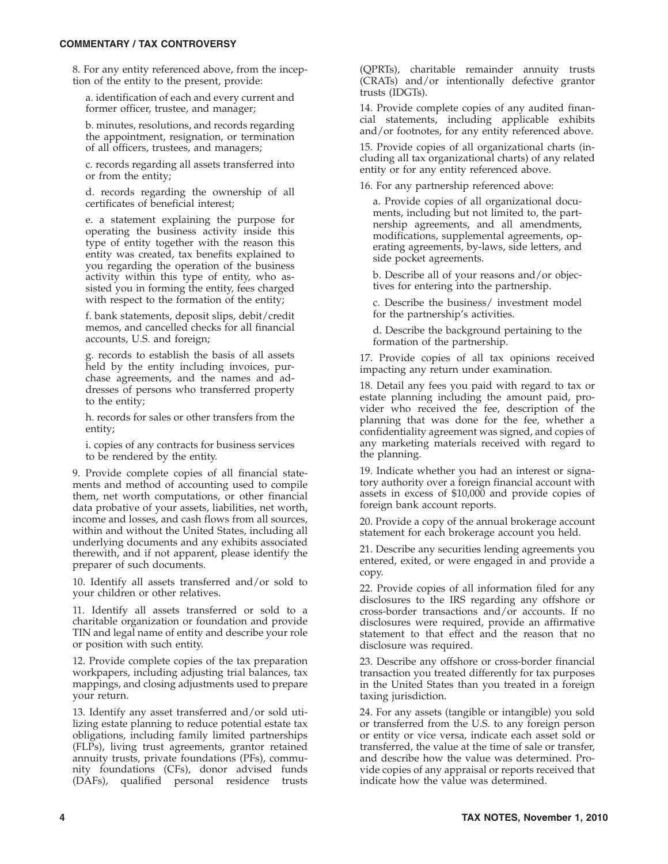#### **COMMENTARY / TAX CONTROVERSY**

8. For any entity referenced above, from the inception of the entity to the present, provide:

a. identification of each and every current and former officer, trustee, and manager;

b. minutes, resolutions, and records regarding the appointment, resignation, or termination of all officers, trustees, and managers;

c. records regarding all assets transferred into or from the entity;

d. records regarding the ownership of all certificates of beneficial interest;

e. a statement explaining the purpose for operating the business activity inside this type of entity together with the reason this entity was created, tax benefits explained to you regarding the operation of the business activity within this type of entity, who assisted you in forming the entity, fees charged with respect to the formation of the entity;

f. bank statements, deposit slips, debit/credit memos, and cancelled checks for all financial accounts, U.S. and foreign;

g. records to establish the basis of all assets held by the entity including invoices, purchase agreements, and the names and addresses of persons who transferred property to the entity;

h. records for sales or other transfers from the entity;

i. copies of any contracts for business services to be rendered by the entity.

9. Provide complete copies of all financial statements and method of accounting used to compile them, net worth computations, or other financial data probative of your assets, liabilities, net worth, income and losses, and cash flows from all sources, within and without the United States, including all underlying documents and any exhibits associated therewith, and if not apparent, please identify the preparer of such documents.

10. Identify all assets transferred and/or sold to your children or other relatives.

11. Identify all assets transferred or sold to a charitable organization or foundation and provide TIN and legal name of entity and describe your role or position with such entity.

12. Provide complete copies of the tax preparation workpapers, including adjusting trial balances, tax mappings, and closing adjustments used to prepare your return.

13. Identify any asset transferred and/or sold utilizing estate planning to reduce potential estate tax obligations, including family limited partnerships (FLPs), living trust agreements, grantor retained annuity trusts, private foundations (PFs), community foundations (CFs), donor advised funds (DAFs), qualified personal residence trusts (QPRTs), charitable remainder annuity trusts (CRATs) and/or intentionally defective grantor trusts (IDGTs).

14. Provide complete copies of any audited financial statements, including applicable exhibits and/or footnotes, for any entity referenced above.

15. Provide copies of all organizational charts (including all tax organizational charts) of any related entity or for any entity referenced above.

16. For any partnership referenced above:

a. Provide copies of all organizational documents, including but not limited to, the partnership agreements, and all amendments, modifications, supplemental agreements, operating agreements, by-laws, side letters, and side pocket agreements.

b. Describe all of your reasons and/or objectives for entering into the partnership.

c. Describe the business/ investment model for the partnership's activities.

d. Describe the background pertaining to the formation of the partnership.

17. Provide copies of all tax opinions received impacting any return under examination.

18. Detail any fees you paid with regard to tax or estate planning including the amount paid, provider who received the fee, description of the planning that was done for the fee, whether a confidentiality agreement was signed, and copies of any marketing materials received with regard to the planning.

19. Indicate whether you had an interest or signatory authority over a foreign financial account with assets in excess of \$10,000 and provide copies of foreign bank account reports.

20. Provide a copy of the annual brokerage account statement for each brokerage account you held.

21. Describe any securities lending agreements you entered, exited, or were engaged in and provide a copy.

22. Provide copies of all information filed for any disclosures to the IRS regarding any offshore or cross-border transactions and/or accounts. If no disclosures were required, provide an affirmative statement to that effect and the reason that no disclosure was required.

23. Describe any offshore or cross-border financial transaction you treated differently for tax purposes in the United States than you treated in a foreign taxing jurisdiction.

24. For any assets (tangible or intangible) you sold or transferred from the U.S. to any foreign person or entity or vice versa, indicate each asset sold or transferred, the value at the time of sale or transfer, and describe how the value was determined. Provide copies of any appraisal or reports received that indicate how the value was determined.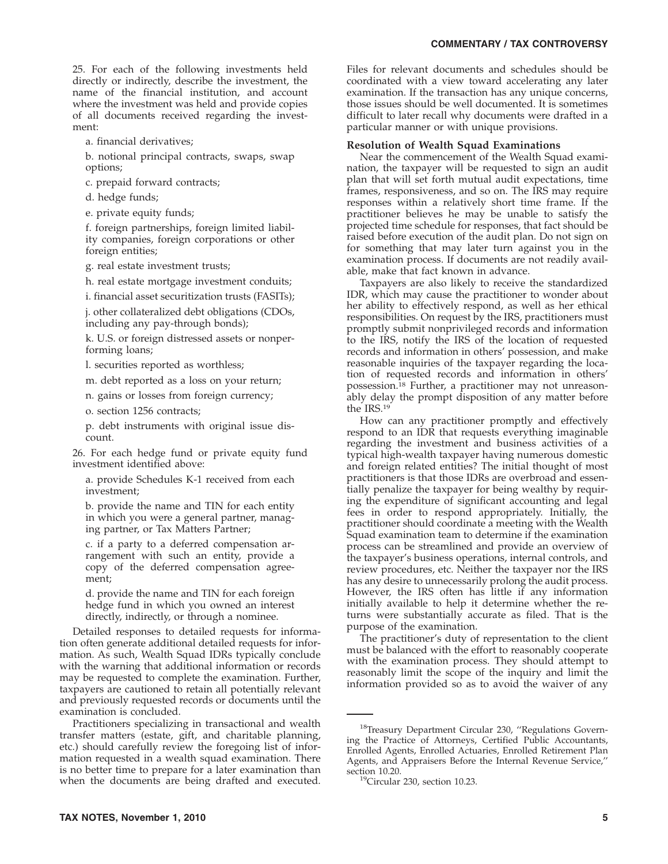25. For each of the following investments held directly or indirectly, describe the investment, the name of the financial institution, and account where the investment was held and provide copies of all documents received regarding the investment:

a. financial derivatives;

b. notional principal contracts, swaps, swap options;

c. prepaid forward contracts;

d. hedge funds;

e. private equity funds;

f. foreign partnerships, foreign limited liability companies, foreign corporations or other foreign entities;

g. real estate investment trusts;

h. real estate mortgage investment conduits;

i. financial asset securitization trusts (FASITs);

j. other collateralized debt obligations (CDOs, including any pay-through bonds);

k. U.S. or foreign distressed assets or nonperforming loans;

l. securities reported as worthless;

m. debt reported as a loss on your return;

n. gains or losses from foreign currency;

o. section 1256 contracts;

p. debt instruments with original issue discount.

26. For each hedge fund or private equity fund investment identified above:

a. provide Schedules K-1 received from each investment;

b. provide the name and TIN for each entity in which you were a general partner, managing partner, or Tax Matters Partner;

c. if a party to a deferred compensation arrangement with such an entity, provide a copy of the deferred compensation agreement;

d. provide the name and TIN for each foreign hedge fund in which you owned an interest directly, indirectly, or through a nominee.

Detailed responses to detailed requests for information often generate additional detailed requests for information. As such, Wealth Squad IDRs typically conclude with the warning that additional information or records may be requested to complete the examination. Further, taxpayers are cautioned to retain all potentially relevant and previously requested records or documents until the examination is concluded.

Practitioners specializing in transactional and wealth transfer matters (estate, gift, and charitable planning, etc.) should carefully review the foregoing list of information requested in a wealth squad examination. There is no better time to prepare for a later examination than when the documents are being drafted and executed.

Files for relevant documents and schedules should be coordinated with a view toward accelerating any later examination. If the transaction has any unique concerns, those issues should be well documented. It is sometimes difficult to later recall why documents were drafted in a particular manner or with unique provisions.

#### **Resolution of Wealth Squad Examinations**

Near the commencement of the Wealth Squad examination, the taxpayer will be requested to sign an audit plan that will set forth mutual audit expectations, time frames, responsiveness, and so on. The IRS may require responses within a relatively short time frame. If the practitioner believes he may be unable to satisfy the projected time schedule for responses, that fact should be raised before execution of the audit plan. Do not sign on for something that may later turn against you in the examination process. If documents are not readily available, make that fact known in advance.

Taxpayers are also likely to receive the standardized IDR, which may cause the practitioner to wonder about her ability to effectively respond, as well as her ethical responsibilities. On request by the IRS, practitioners must promptly submit nonprivileged records and information to the IRS, notify the IRS of the location of requested records and information in others' possession, and make reasonable inquiries of the taxpayer regarding the location of requested records and information in others' possession.<sup>18</sup> Further, a practitioner may not unreasonably delay the prompt disposition of any matter before the IRS.19

How can any practitioner promptly and effectively respond to an IDR that requests everything imaginable regarding the investment and business activities of a typical high-wealth taxpayer having numerous domestic and foreign related entities? The initial thought of most practitioners is that those IDRs are overbroad and essentially penalize the taxpayer for being wealthy by requiring the expenditure of significant accounting and legal fees in order to respond appropriately. Initially, the practitioner should coordinate a meeting with the Wealth Squad examination team to determine if the examination process can be streamlined and provide an overview of the taxpayer's business operations, internal controls, and review procedures, etc. Neither the taxpayer nor the IRS has any desire to unnecessarily prolong the audit process. However, the IRS often has little if any information initially available to help it determine whether the returns were substantially accurate as filed. That is the purpose of the examination.

The practitioner's duty of representation to the client must be balanced with the effort to reasonably cooperate with the examination process. They should attempt to reasonably limit the scope of the inquiry and limit the information provided so as to avoid the waiver of any

<sup>&</sup>lt;sup>18</sup>Treasury Department Circular 230, "Regulations Governing the Practice of Attorneys, Certified Public Accountants, Enrolled Agents, Enrolled Actuaries, Enrolled Retirement Plan Agents, and Appraisers Before the Internal Revenue Service,'' section 10.20.<br><sup>19</sup>Circular 230, section 10.23.